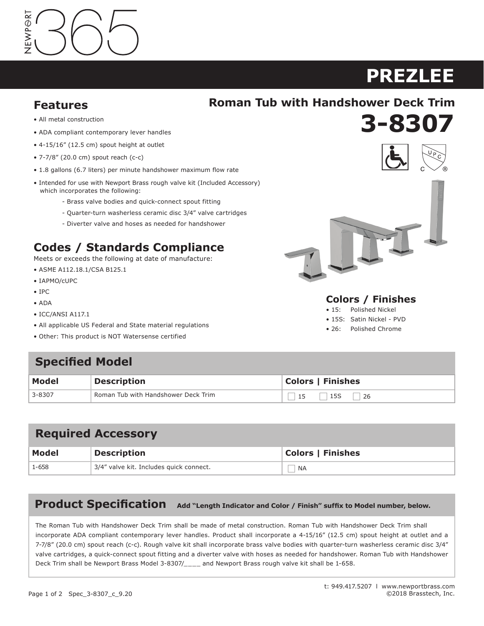# VEWPORT

# **PREZLEE ASTOR**

**3-8307 920**

#### **Features**

# **Features Roman Tub with Handshower Deck Trim**

- All metal construction
- ADA compliant contemporary lever handles
- 4-15/16" (12.5 cm) spout height at outlet
- $\bullet$  7-7/8" (20.0 cm) spout reach (c-c)
- 1.8 gallons (6.7 liters) per minute handshower maximum flow rate
- Intended for use with Newport Brass rough valve kit (Included Accessory) which incorporates the following:
	- The state bodies and quick-connect spout fitting<br>• Brass valve bodies and quick-connect spout fitting
	- Quarter-turn washerless ceramic disc 3/4" valve cartridges
	- Diverter valve and hoses as needed for handshower

# **Codes / Standards Compliance**

Meets or exceeds the following at date of manufacture:

- ASME A112.18.1/CSA B125.1 **Codes / Standards Compliance**
- IAPMO/cUPC  $C$  or exceeds the following at date of  $C$
- IPC
- ADA
- ICC/ANSI A117.1
- All applicable US Federal and State material regulations
- Other: This product is NOT Watersense certified

### **Specified Model**

| <b>Model</b> | Description                         | Colors   Finishes        |
|--------------|-------------------------------------|--------------------------|
| 3-8307       | Roman Tub with Handshower Deck Trim | $\vert$ 15S<br>15<br>-26 |

# **Specified Model Required Accessory**

| <b>Model</b> | <b>Description</b>                      | <b>Colors   Finishes</b> |
|--------------|-----------------------------------------|--------------------------|
| $1 - 658$    | 3/4" valve kit. Includes quick connect. | <b>NA</b>                |

#### **Product Specification** Add "Length Indicator and Color / Finish" suffix to Model number, below.

The Roman Tub with Handshower Deck Trim shall be made of metal construction. Roman Tub with Handshower Deck Trim shall incorporate ADA compliant contemporary lever handles. Product shall incorporate a 4-15/16" (12.5 cm) spout height at outlet and a incorporate ADA compilant contemporary lever nangles. Product shall incorporate a 4-15/16" (12.5 cm) spout neignt at outlet and a<br>7-7/8" (20.0 cm) spout reach (c-c). Rough valve kit shall incorporate brass valve bodies wit valve cartridges, a quick-connect spout fitting and a diverter valve with hoses as needed for handshower. Roman Tub with Handshower  $\; \; | \;$ Deck Trim shall be Newport Brass Model 3-8307/\_\_\_\_ and Newport Brass rough valve kit shall be 1-658.  $\hspace{0.1cm}$  $1.5$  gallon (5.7 cm)  $1.5$  gallon  $2.2$  (20.3 cm) centers  $1.5$  (30.8 cm). Product shall be for  $3.5$  cm,  $2.8$  cm  $2.8$  cm  $2.8$  cm  $2.8$  cm  $2.8$  cm  $2.8$  cm  $2.8$  cm  $2.8$  cm  $2.8$  cm  $2.8$  cm  $2.8$  cm  $2.8$  cm  $2.8$ 

incorporate a 1-7/16" (3.7 cm) spout height at outlet and a 5-5/8" (14.3 cm) spout reach (c-c). Faucet shall include a pop-up drain with



#### **Colors / Finishes**

• Other: Refer to the Newport Brass catalog for

- 15: Polished Nickel
- 15S: Satin Nickel PVD
- 26: Polished Chrome